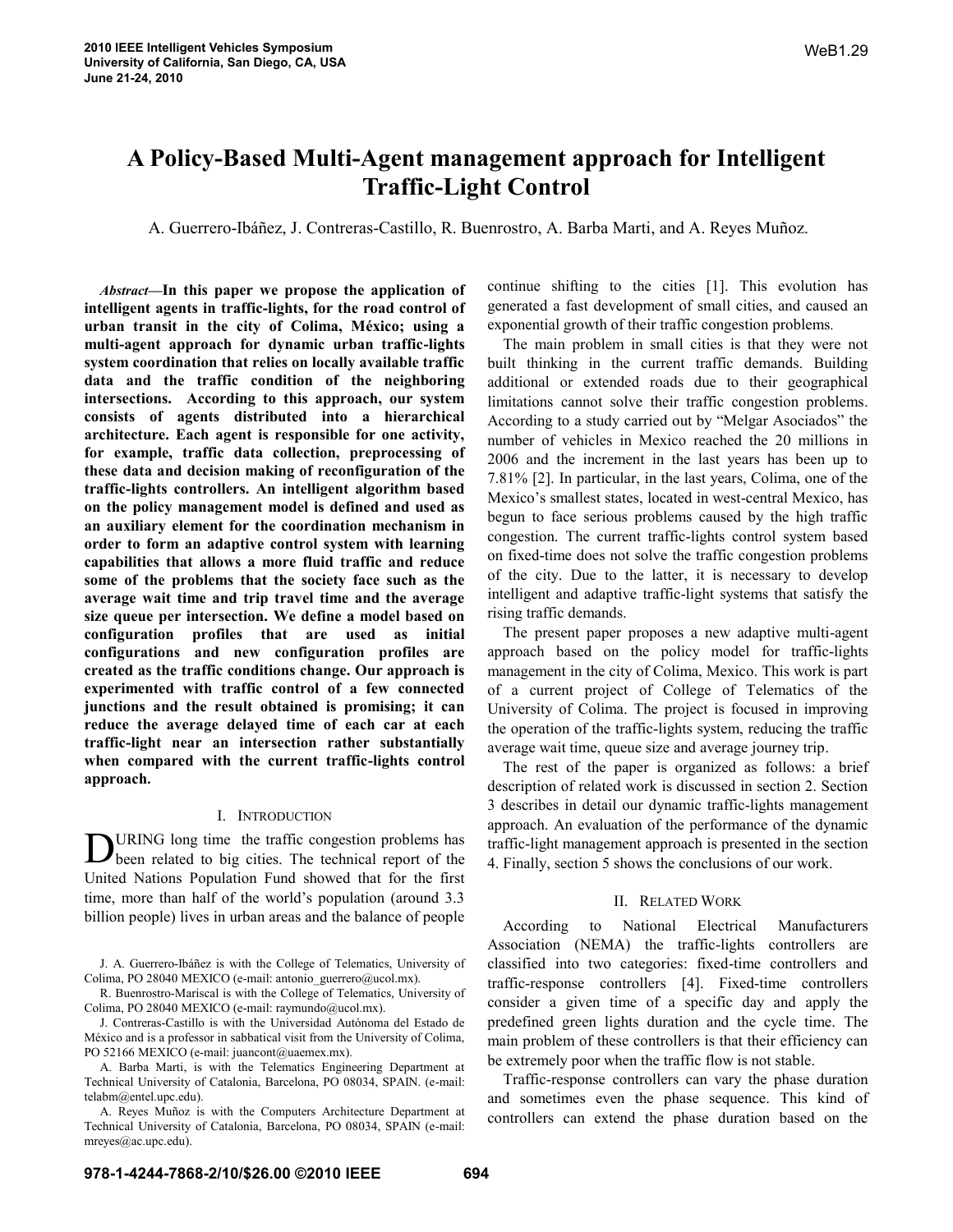# **A Policy-Based Multi-Agent management approach for Intelligent Traffic-Light Control**

A. Guerrero-Ibáñez, J. Contreras-Castillo, R. Buenrostro, A. Barba Marti, and A. Reyes Muñoz.

*Abstract***—In this paper we propose the application of intelligent agents in traffic-lights, for the road control of urban transit in the city of Colima, México; using a multi-agent approach for dynamic urban traffic-lights system coordination that relies on locally available traffic data and the traffic condition of the neighboring intersections. According to this approach, our system consists of agents distributed into a hierarchical architecture. Each agent is responsible for one activity, for example, traffic data collection, preprocessing of these data and decision making of reconfiguration of the traffic-lights controllers. An intelligent algorithm based on the policy management model is defined and used as an auxiliary element for the coordination mechanism in order to form an adaptive control system with learning capabilities that allows a more fluid traffic and reduce some of the problems that the society face such as the average wait time and trip travel time and the average size queue per intersection. We define a model based on configuration profiles that are used as initial configurations and new configuration profiles are created as the traffic conditions change. Our approach is experimented with traffic control of a few connected junctions and the result obtained is promising; it can reduce the average delayed time of each car at each traffic-light near an intersection rather substantially when compared with the current traffic-lights control approach.**

## I. INTRODUCTION

URING long time the traffic congestion problems has DURING long time the traffic congestion problems has been related to big cities. The technical report of the United Nations Population Fund showed that for the first time, more than half of the world's population (around 3.3 billion people) lives in urban areas and the balance of people

J. A. Guerrero-Ibáñez is with the College of Telematics, University of Colima, PO 28040 MEXICO (e-mail: antonio\_guerrero@ucol.mx).

R. Buenrostro-Mariscal is with the College of Telematics, University of Colima, PO 28040 MEXICO (e-mail: raymundo@ucol.mx).

J. Contreras-Castillo is with the Universidad Autónoma del Estado de México and is a professor in sabbatical visit from the University of Colima, PO 52166 MEXICO (e-mail: juancont@uaemex.mx).

A. Barba Marti, is with the Telematics Engineering Department at Technical University of Catalonia, Barcelona, PO 08034, SPAIN. (e-mail: telabm@entel.upc.edu).

A. Reyes Muñoz is with the Computers Architecture Department at Technical University of Catalonia, Barcelona, PO 08034, SPAIN (e-mail: mreyes@ac.upc.edu).

continue shifting to the cities [1]. This evolution has generated a fast development of small cities, and caused an exponential growth of their traffic congestion problems*.*

The main problem in small cities is that they were not built thinking in the current traffic demands. Building additional or extended roads due to their geographical limitations cannot solve their traffic congestion problems. According to a study carried out by "Melgar Asociados" the number of vehicles in Mexico reached the 20 millions in 2006 and the increment in the last years has been up to 7.81% [2]. In particular, in the last years, Colima, one of the Mexico's smallest states, located in west-central Mexico, has begun to face serious problems caused by the high traffic congestion. The current traffic-lights control system based on fixed-time does not solve the traffic congestion problems of the city. Due to the latter, it is necessary to develop intelligent and adaptive traffic-light systems that satisfy the rising traffic demands.

The present paper proposes a new adaptive multi-agent approach based on the policy model for traffic-lights management in the city of Colima, Mexico. This work is part of a current project of College of Telematics of the University of Colima. The project is focused in improving the operation of the traffic-lights system, reducing the traffic average wait time, queue size and average journey trip.

The rest of the paper is organized as follows: a brief description of related work is discussed in section 2. Section 3 describes in detail our dynamic traffic-lights management approach. An evaluation of the performance of the dynamic traffic-light management approach is presented in the section 4. Finally, section 5 shows the conclusions of our work.

# II. RELATED WORK

According to National Electrical Manufacturers Association (NEMA) the traffic-lights controllers are classified into two categories: fixed-time controllers and traffic-response controllers [4]. Fixed-time controllers consider a given time of a specific day and apply the predefined green lights duration and the cycle time. The main problem of these controllers is that their efficiency can be extremely poor when the traffic flow is not stable.

Traffic-response controllers can vary the phase duration and sometimes even the phase sequence. This kind of controllers can extend the phase duration based on the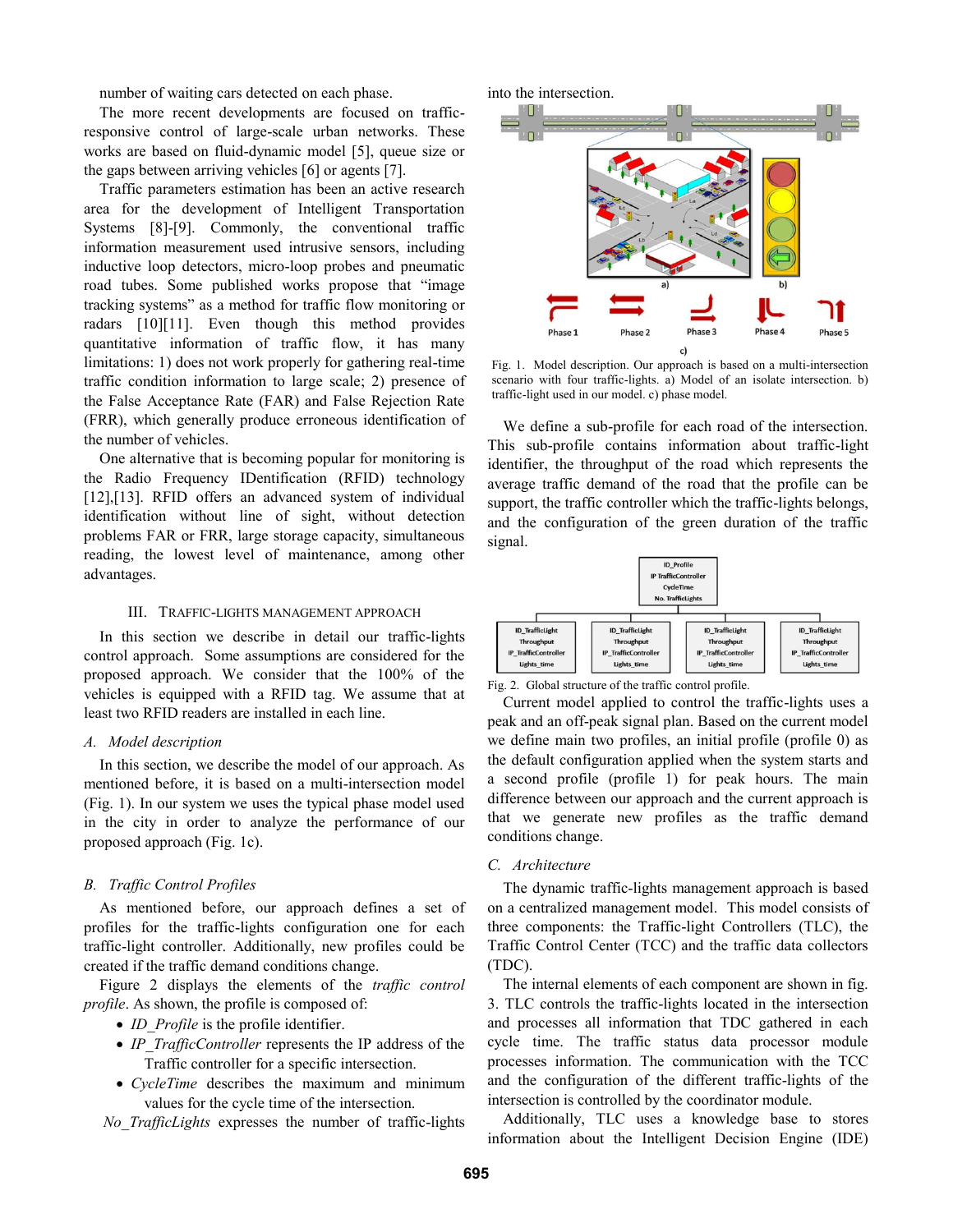number of waiting cars detected on each phase.

The more recent developments are focused on trafficresponsive control of large-scale urban networks. These works are based on fluid-dynamic model [5], queue size or the gaps between arriving vehicles [6] or agents [7].

Traffic parameters estimation has been an active research area for the development of Intelligent Transportation Systems [8]-[9]. Commonly, the conventional traffic information measurement used intrusive sensors, including inductive loop detectors, micro-loop probes and pneumatic road tubes. Some published works propose that "image tracking systems" as a method for traffic flow monitoring or radars [10][11]. Even though this method provides quantitative information of traffic flow, it has many limitations: 1) does not work properly for gathering real-time traffic condition information to large scale; 2) presence of the False Acceptance Rate (FAR) and False Rejection Rate (FRR), which generally produce erroneous identification of the number of vehicles.

One alternative that is becoming popular for monitoring is the Radio Frequency IDentification (RFID) technology [12],[13]. RFID offers an advanced system of individual identification without line of sight, without detection problems FAR or FRR, large storage capacity, simultaneous reading, the lowest level of maintenance, among other advantages.

# III. TRAFFIC-LIGHTS MANAGEMENT APPROACH

In this section we describe in detail our traffic-lights control approach. Some assumptions are considered for the proposed approach. We consider that the 100% of the vehicles is equipped with a RFID tag. We assume that at least two RFID readers are installed in each line.

# *A. Model description*

In this section, we describe the model of our approach. As mentioned before, it is based on a multi-intersection model (Fig. 1). In our system we uses the typical phase model used in the city in order to analyze the performance of our proposed approach (Fig. 1c).

# *B. Traffic Control Profiles*

As mentioned before, our approach defines a set of profiles for the traffic-lights configuration one for each traffic-light controller. Additionally, new profiles could be created if the traffic demand conditions change.

Figure 2 displays the elements of the *traffic control profile*. As shown, the profile is composed of:

- *ID\_Profile* is the profile identifier.
- *IP\_TrafficController* represents the IP address of the Traffic controller for a specific intersection.
- *CycleTime* describes the maximum and minimum values for the cycle time of the intersection.

*No\_TrafficLights* expresses the number of traffic-lights

into the intersection.



Fig. 1. Model description. Our approach is based on a multi-intersection scenario with four traffic-lights. a) Model of an isolate intersection. b) traffic-light used in our model. c) phase model.

We define a sub-profile for each road of the intersection. This sub-profile contains information about traffic-light identifier, the throughput of the road which represents the average traffic demand of the road that the profile can be support, the traffic controller which the traffic-lights belongs, and the configuration of the green duration of the traffic signal.



Fig. 2. Global structure of the traffic control profile.

Current model applied to control the traffic-lights uses a peak and an off-peak signal plan. Based on the current model we define main two profiles, an initial profile (profile 0) as the default configuration applied when the system starts and a second profile (profile 1) for peak hours. The main difference between our approach and the current approach is that we generate new profiles as the traffic demand conditions change.

# *C. Architecture*

The dynamic traffic-lights management approach is based on a centralized management model. This model consists of three components: the Traffic-light Controllers (TLC), the Traffic Control Center (TCC) and the traffic data collectors (TDC).

The internal elements of each component are shown in fig. 3. TLC controls the traffic-lights located in the intersection and processes all information that TDC gathered in each cycle time. The traffic status data processor module processes information. The communication with the TCC and the configuration of the different traffic-lights of the intersection is controlled by the coordinator module.

Additionally, TLC uses a knowledge base to stores information about the Intelligent Decision Engine (IDE)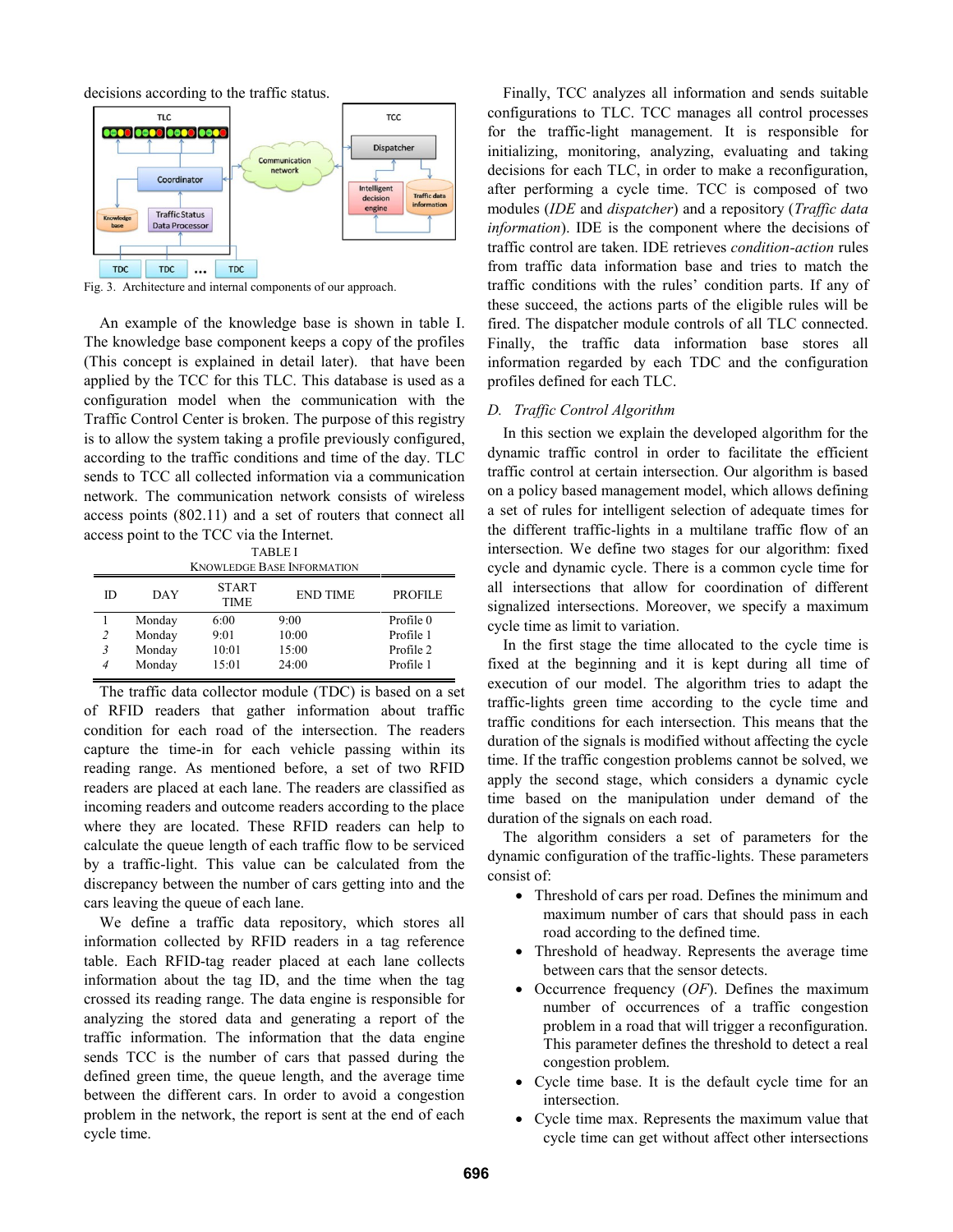decisions according to the traffic status.



Fig. 3. Architecture and internal components of our approach.

An example of the knowledge base is shown in table I. The knowledge base component keeps a copy of the profiles (This concept is explained in detail later). that have been applied by the TCC for this TLC. This database is used as a configuration model when the communication with the Traffic Control Center is broken. The purpose of this registry is to allow the system taking a profile previously configured, according to the traffic conditions and time of the day. TLC sends to TCC all collected information via a communication network. The communication network consists of wireless access points (802.11) and a set of routers that connect all access point to the TCC via the Internet.

TABLE I KNOWLEDGE BASE INFORMATION

| NNUWLEDGE DASE INFURMATION |            |                             |                 |                |  |  |  |
|----------------------------|------------|-----------------------------|-----------------|----------------|--|--|--|
| ID                         | <b>DAY</b> | <b>START</b><br><b>TIME</b> | <b>END TIME</b> | <b>PROFILE</b> |  |  |  |
|                            | Monday     | 6:00                        | 9:00            | Profile 0      |  |  |  |
| $\overline{2}$             | Monday     | 9:01                        | 10:00           | Profile 1      |  |  |  |
| 3                          | Monday     | 10:01                       | 15:00           | Profile 2      |  |  |  |
| 4                          | Monday     | 15:01                       | 24:00           | Profile 1      |  |  |  |
|                            |            |                             |                 |                |  |  |  |

The traffic data collector module (TDC) is based on a set of RFID readers that gather information about traffic condition for each road of the intersection. The readers capture the time-in for each vehicle passing within its reading range. As mentioned before, a set of two RFID readers are placed at each lane. The readers are classified as incoming readers and outcome readers according to the place where they are located. These RFID readers can help to calculate the queue length of each traffic flow to be serviced by a traffic-light. This value can be calculated from the discrepancy between the number of cars getting into and the cars leaving the queue of each lane.

We define a traffic data repository, which stores all information collected by RFID readers in a tag reference table. Each RFID-tag reader placed at each lane collects information about the tag ID, and the time when the tag crossed its reading range. The data engine is responsible for analyzing the stored data and generating a report of the traffic information. The information that the data engine sends TCC is the number of cars that passed during the defined green time, the queue length, and the average time between the different cars. In order to avoid a congestion problem in the network, the report is sent at the end of each cycle time.

Finally, TCC analyzes all information and sends suitable configurations to TLC. TCC manages all control processes for the traffic-light management. It is responsible for initializing, monitoring, analyzing, evaluating and taking decisions for each TLC, in order to make a reconfiguration, after performing a cycle time. TCC is composed of two modules (*IDE* and *dispatcher*) and a repository (*Traffic data information*). IDE is the component where the decisions of traffic control are taken. IDE retrieves *condition-action* rules from traffic data information base and tries to match the traffic conditions with the rules' condition parts. If any of these succeed, the actions parts of the eligible rules will be fired. The dispatcher module controls of all TLC connected. Finally, the traffic data information base stores all information regarded by each TDC and the configuration profiles defined for each TLC.

# *D. Traffic Control Algorithm*

In this section we explain the developed algorithm for the dynamic traffic control in order to facilitate the efficient traffic control at certain intersection. Our algorithm is based on a policy based management model, which allows defining a set of rules for intelligent selection of adequate times for the different traffic-lights in a multilane traffic flow of an intersection. We define two stages for our algorithm: fixed cycle and dynamic cycle. There is a common cycle time for all intersections that allow for coordination of different signalized intersections. Moreover, we specify a maximum cycle time as limit to variation.

In the first stage the time allocated to the cycle time is fixed at the beginning and it is kept during all time of execution of our model. The algorithm tries to adapt the traffic-lights green time according to the cycle time and traffic conditions for each intersection. This means that the duration of the signals is modified without affecting the cycle time. If the traffic congestion problems cannot be solved, we apply the second stage, which considers a dynamic cycle time based on the manipulation under demand of the duration of the signals on each road.

The algorithm considers a set of parameters for the dynamic configuration of the traffic-lights. These parameters consist of:

- Threshold of cars per road. Defines the minimum and maximum number of cars that should pass in each road according to the defined time.
- Threshold of headway. Represents the average time between cars that the sensor detects.
- Occurrence frequency (*OF*). Defines the maximum number of occurrences of a traffic congestion problem in a road that will trigger a reconfiguration. This parameter defines the threshold to detect a real congestion problem.
- Cycle time base. It is the default cycle time for an intersection.
- Cycle time max. Represents the maximum value that cycle time can get without affect other intersections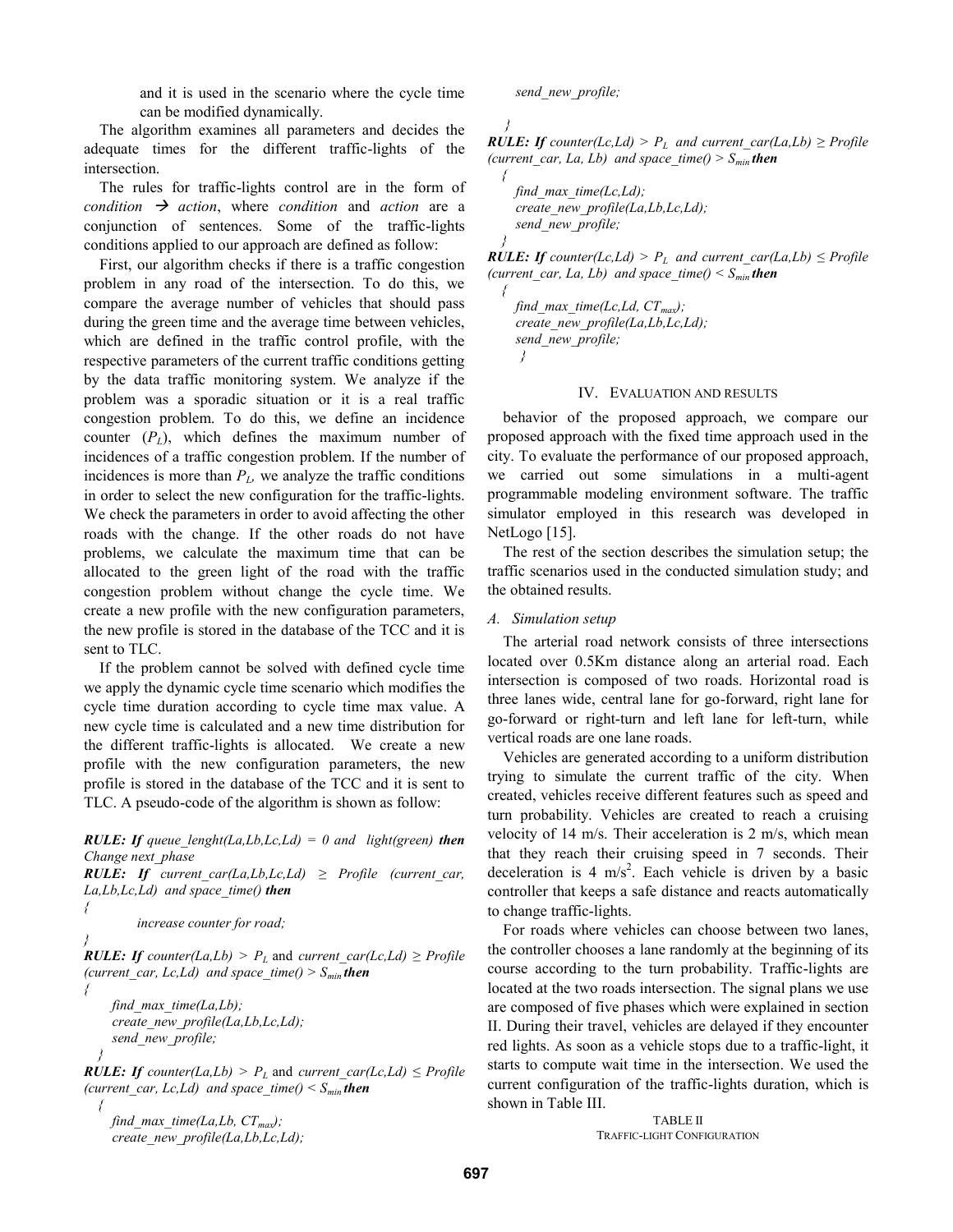and it is used in the scenario where the cycle time can be modified dynamically.

The algorithm examines all parameters and decides the adequate times for the different traffic-lights of the intersection.

The rules for traffic-lights control are in the form of *condition*  $\rightarrow$  *action*, where *condition* and *action* are a conjunction of sentences. Some of the traffic-lights conditions applied to our approach are defined as follow:

First, our algorithm checks if there is a traffic congestion problem in any road of the intersection. To do this, we compare the average number of vehicles that should pass during the green time and the average time between vehicles, which are defined in the traffic control profile, with the respective parameters of the current traffic conditions getting by the data traffic monitoring system. We analyze if the problem was a sporadic situation or it is a real traffic congestion problem. To do this, we define an incidence counter  $(P_L)$ , which defines the maximum number of incidences of a traffic congestion problem. If the number of incidences is more than  $P_L$ , we analyze the traffic conditions in order to select the new configuration for the traffic-lights. We check the parameters in order to avoid affecting the other roads with the change. If the other roads do not have problems, we calculate the maximum time that can be allocated to the green light of the road with the traffic congestion problem without change the cycle time. We create a new profile with the new configuration parameters, the new profile is stored in the database of the TCC and it is sent to TLC.

If the problem cannot be solved with defined cycle time we apply the dynamic cycle time scenario which modifies the cycle time duration according to cycle time max value. A new cycle time is calculated and a new time distribution for the different traffic-lights is allocated. We create a new profile with the new configuration parameters, the new profile is stored in the database of the TCC and it is sent to TLC. A pseudo-code of the algorithm is shown as follow:

*RULE: If queue lenght(La,Lb,Lc,Ld) = 0 and light(green) then Change next\_phase*

*RULE:* If current\_car(La,Lb,Lc,Ld)  $\geq$  Profile (current\_car, *La,Lb,Lc,Ld) and space\_time() then {* 

 *increase counter for road;*

*RULE: If counter(La,Lb)* >  $P_L$  and *current\_car(Lc,Ld)*  $\geq$  *Profile (current\_car, Lc,Ld)* and space\_time() >  $S_{min}$  **then** 

 *find\_max\_time(La,Lb); create\_new\_profile(La,Lb,Lc,Ld); send\_new\_profile;*

*}*

*{* 

 *{*

 *} RULE: If counter(La,Lb) > P<sub>L</sub>* and *current car(Lc,Ld)*  $\leq$  *Profile (current\_car, Lc,Ld)* and space\_time()  $\leq S_{min}$  **then** 

*find max time*(*La,Lb, CT*<sub>*max</sub>*)*;*</sub>  *create\_new\_profile(La,Lb,Lc,Ld);*  *send\_new\_profile;*

 *}*

 *{* 

*RULE: If counter(Lc,Ld)* >  $P_L$  *and current\_car(La,Lb)*  $\geq$  *Profile (current\_car, La, Lb)* and space\_time() >  $S_{min}$  **then** 

 *find\_max\_time(Lc,Ld); create\_new\_profile(La,Lb,Lc,Ld); send\_new\_profile;*

 *} RULE: If counter(Lc,Ld) > P<sub>L</sub> and current\_car(La,Lb)*  $\leq$  *Profile (current\_car, La, Lb)* and space\_time()  $\leq S_{min}$  then  *{*

```
 find_max_time(Lc,Ld, CTmax);
create_new_profile(La,Lb,Lc,Ld);
send_new_profile;
 }
```
# IV. EVALUATION AND RESULTS

behavior of the proposed approach, we compare our proposed approach with the fixed time approach used in the city. To evaluate the performance of our proposed approach, we carried out some simulations in a multi-agent programmable modeling environment software. The traffic simulator employed in this research was developed in NetLogo [15].

The rest of the section describes the simulation setup; the traffic scenarios used in the conducted simulation study; and the obtained results.

#### *A. Simulation setup*

The arterial road network consists of three intersections located over 0.5Km distance along an arterial road. Each intersection is composed of two roads. Horizontal road is three lanes wide, central lane for go-forward, right lane for go-forward or right-turn and left lane for left-turn, while vertical roads are one lane roads.

Vehicles are generated according to a uniform distribution trying to simulate the current traffic of the city. When created, vehicles receive different features such as speed and turn probability. Vehicles are created to reach a cruising velocity of 14 m/s. Their acceleration is 2 m/s, which mean that they reach their cruising speed in 7 seconds. Their deceleration is 4 m/s<sup>2</sup>. Each vehicle is driven by a basic controller that keeps a safe distance and reacts automatically to change traffic-lights.

For roads where vehicles can choose between two lanes, the controller chooses a lane randomly at the beginning of its course according to the turn probability. Traffic-lights are located at the two roads intersection. The signal plans we use are composed of five phases which were explained in section II. During their travel, vehicles are delayed if they encounter red lights. As soon as a vehicle stops due to a traffic-light, it starts to compute wait time in the intersection. We used the current configuration of the traffic-lights duration, which is shown in Table III.

> TABLE II TRAFFIC-LIGHT CONFIGURATION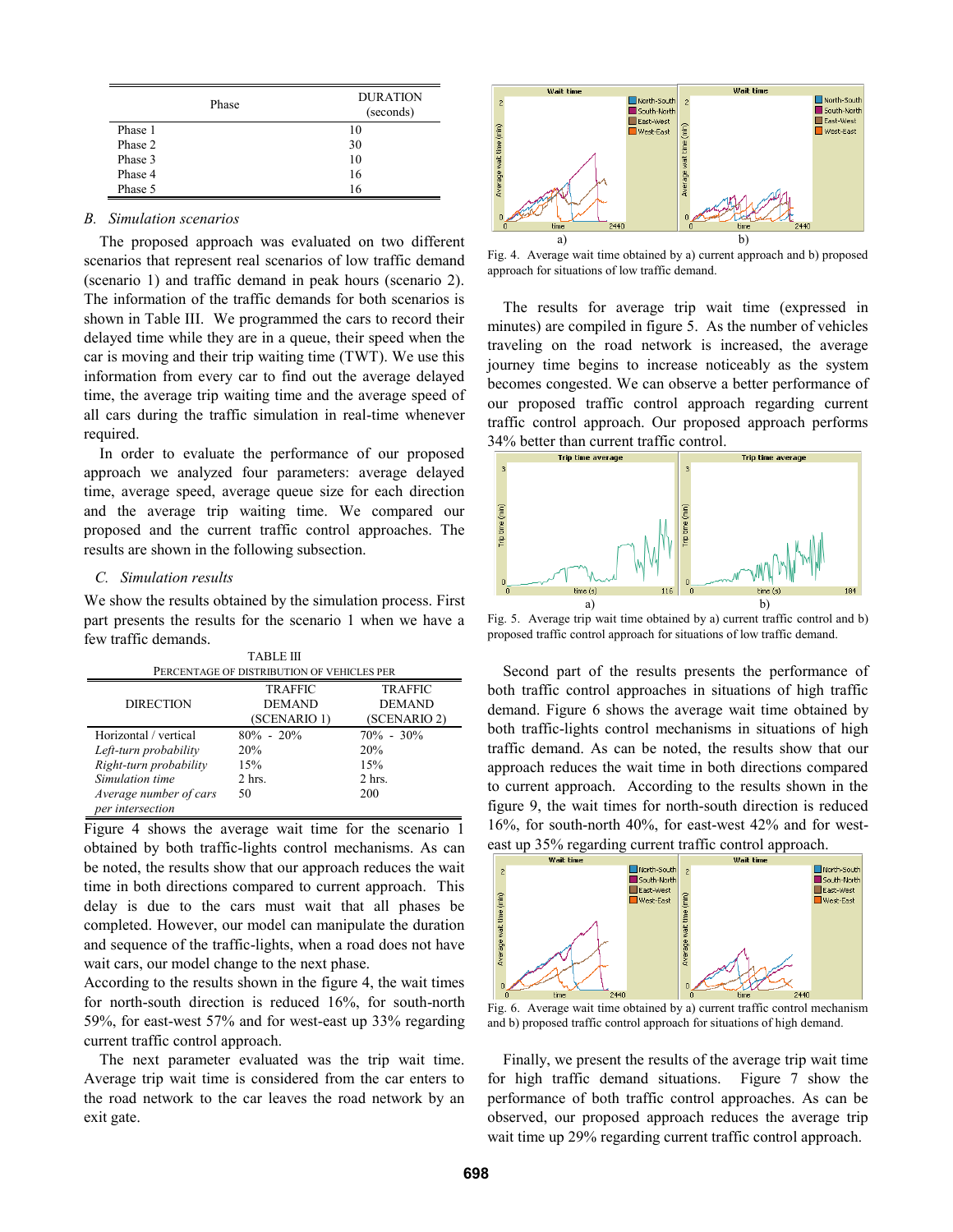|         | Phase | <b>DURATION</b><br>(seconds) |
|---------|-------|------------------------------|
| Phase 1 |       | 10                           |
| Phase 2 |       | 30                           |
| Phase 3 |       | 10                           |
| Phase 4 |       | 16                           |
| Phase 5 |       | 16                           |

## *B. Simulation scenarios*

The proposed approach was evaluated on two different scenarios that represent real scenarios of low traffic demand (scenario 1) and traffic demand in peak hours (scenario 2). The information of the traffic demands for both scenarios is shown in Table III. We programmed the cars to record their delayed time while they are in a queue, their speed when the car is moving and their trip waiting time (TWT). We use this information from every car to find out the average delayed time, the average trip waiting time and the average speed of all cars during the traffic simulation in real-time whenever required.

In order to evaluate the performance of our proposed approach we analyzed four parameters: average delayed time, average speed, average queue size for each direction and the average trip waiting time. We compared our proposed and the current traffic control approaches. The results are shown in the following subsection.

#### *C. Simulation results*

We show the results obtained by the simulation process. First part presents the results for the scenario 1 when we have a few traffic demands.

TABLE III

| 1731212 111                                |                |                |  |  |  |  |  |
|--------------------------------------------|----------------|----------------|--|--|--|--|--|
| PERCENTAGE OF DISTRIBUTION OF VEHICLES PER |                |                |  |  |  |  |  |
|                                            | <b>TRAFFIC</b> | <b>TRAFFIC</b> |  |  |  |  |  |
| <b>DIRECTION</b>                           | <b>DEMAND</b>  | <b>DEMAND</b>  |  |  |  |  |  |
|                                            | (SCENARIO 1)   | (SCENARIO 2)   |  |  |  |  |  |
| Horizontal / vertical                      | $80\% - 20\%$  | $70\% - 30\%$  |  |  |  |  |  |
| Left-turn probability                      | 20%            | 20%            |  |  |  |  |  |
| Right-turn probability                     | 15%            | 15%            |  |  |  |  |  |
| Simulation time                            | $2$ hrs.       | $2$ hrs.       |  |  |  |  |  |
| Average number of cars                     | 50             | 200            |  |  |  |  |  |
| per intersection                           |                |                |  |  |  |  |  |

Figure 4 shows the average wait time for the scenario 1 obtained by both traffic-lights control mechanisms. As can be noted, the results show that our approach reduces the wait time in both directions compared to current approach. This delay is due to the cars must wait that all phases be completed. However, our model can manipulate the duration and sequence of the traffic-lights, when a road does not have wait cars, our model change to the next phase.

According to the results shown in the figure 4, the wait times for north-south direction is reduced 16%, for south-north 59%, for east-west 57% and for west-east up 33% regarding current traffic control approach.

The next parameter evaluated was the trip wait time. Average trip wait time is considered from the car enters to the road network to the car leaves the road network by an exit gate.



Fig. 4. Average wait time obtained by a) current approach and b) proposed approach for situations of low traffic demand.

The results for average trip wait time (expressed in minutes) are compiled in figure 5. As the number of vehicles traveling on the road network is increased, the average journey time begins to increase noticeably as the system becomes congested. We can observe a better performance of our proposed traffic control approach regarding current traffic control approach. Our proposed approach performs 34% better than current traffic control.



Fig. 5. Average trip wait time obtained by a) current traffic control and b) proposed traffic control approach for situations of low traffic demand.

Second part of the results presents the performance of both traffic control approaches in situations of high traffic demand. Figure 6 shows the average wait time obtained by both traffic-lights control mechanisms in situations of high traffic demand. As can be noted, the results show that our approach reduces the wait time in both directions compared to current approach. According to the results shown in the figure 9, the wait times for north-south direction is reduced 16%, for south-north 40%, for east-west 42% and for westeast up 35% regarding current traffic control approach.



Fig. 6. Average wait time obtained by a) current traffic control mechanism and b) proposed traffic control approach for situations of high demand.

Finally, we present the results of the average trip wait time for high traffic demand situations. Figure 7 show the performance of both traffic control approaches. As can be observed, our proposed approach reduces the average trip wait time up 29% regarding current traffic control approach.